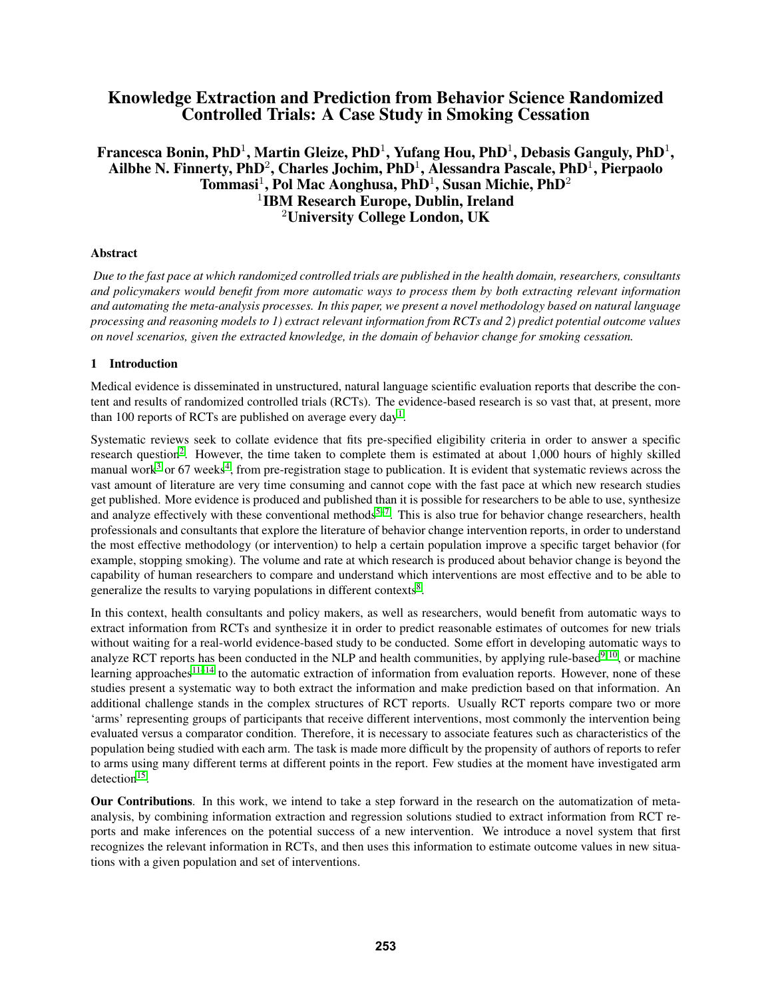# Knowledge Extraction and Prediction from Behavior Science Randomized Controlled Trials: A Case Study in Smoking Cessation

# Francesca Bonin, PhD $^1$ , Martin Gleize, PhD $^1$ , Yufang Hou, PhD $^1$ , Debasis Ganguly, PhD $^1$ , Ailbhe N. Finnerty, PhD $^2$ , Charles Jochim, PhD $^1$ , Alessandra Pascale, PhD $^1$ , Pierpaolo Tommasi<sup>1</sup>, Pol Mac Aonghusa, PhD<sup>1</sup>, Susan Michie, PhD<sup>2</sup> 1 IBM Research Europe, Dublin, Ireland <sup>2</sup>University College London, UK

### Abstract

*Due to the fast pace at which randomized controlled trials are published in the health domain, researchers, consultants and policymakers would benefit from more automatic ways to process them by both extracting relevant information and automating the meta-analysis processes. In this paper, we present a novel methodology based on natural language processing and reasoning models to 1) extract relevant information from RCTs and 2) predict potential outcome values on novel scenarios, given the extracted knowledge, in the domain of behavior change for smoking cessation.*

## 1 Introduction

Medical evidence is disseminated in unstructured, natural language scientific evaluation reports that describe the content and results of randomized controlled trials (RCTs). The evidence-based research is so vast that, at present, more than [1](#page-8-0)00 reports of RCTs are published on average every day<sup>1</sup>.

Systematic reviews seek to collate evidence that fits pre-specified eligibility criteria in order to answer a specific research question<sup>[2](#page-8-1)</sup>. However, the time taken to complete them is estimated at about 1,000 hours of highly skilled manual work<sup>[3](#page-8-2)</sup> or 67 weeks<sup>[4](#page-8-3)</sup>, from pre-registration stage to publication. It is evident that systematic reviews across the vast amount of literature are very time consuming and cannot cope with the fast pace at which new research studies get published. More evidence is produced and published than it is possible for researchers to be able to use, synthesize and analyze effectively with these conventional methods<sup>[5](#page-8-4)[–7](#page-8-5)</sup>. This is also true for behavior change researchers, health professionals and consultants that explore the literature of behavior change intervention reports, in order to understand the most effective methodology (or intervention) to help a certain population improve a specific target behavior (for example, stopping smoking). The volume and rate at which research is produced about behavior change is beyond the capability of human researchers to compare and understand which interventions are most effective and to be able to generalize the results to varying populations in different contexts $8$ .

In this context, health consultants and policy makers, as well as researchers, would benefit from automatic ways to extract information from RCTs and synthesize it in order to predict reasonable estimates of outcomes for new trials without waiting for a real-world evidence-based study to be conducted. Some effort in developing automatic ways to analyze RCT reports has been conducted in the NLP and health communities, by applying rule-based<sup>[9,](#page-8-7) [10](#page-8-8)</sup>, or machine learning approaches $11-14$  $11-14$  to the automatic extraction of information from evaluation reports. However, none of these studies present a systematic way to both extract the information and make prediction based on that information. An additional challenge stands in the complex structures of RCT reports. Usually RCT reports compare two or more 'arms' representing groups of participants that receive different interventions, most commonly the intervention being evaluated versus a comparator condition. Therefore, it is necessary to associate features such as characteristics of the population being studied with each arm. The task is made more difficult by the propensity of authors of reports to refer to arms using many different terms at different points in the report. Few studies at the moment have investigated arm detection<sup>[15](#page-8-11)</sup>.

Our Contributions. In this work, we intend to take a step forward in the research on the automatization of metaanalysis, by combining information extraction and regression solutions studied to extract information from RCT reports and make inferences on the potential success of a new intervention. We introduce a novel system that first recognizes the relevant information in RCTs, and then uses this information to estimate outcome values in new situations with a given population and set of interventions.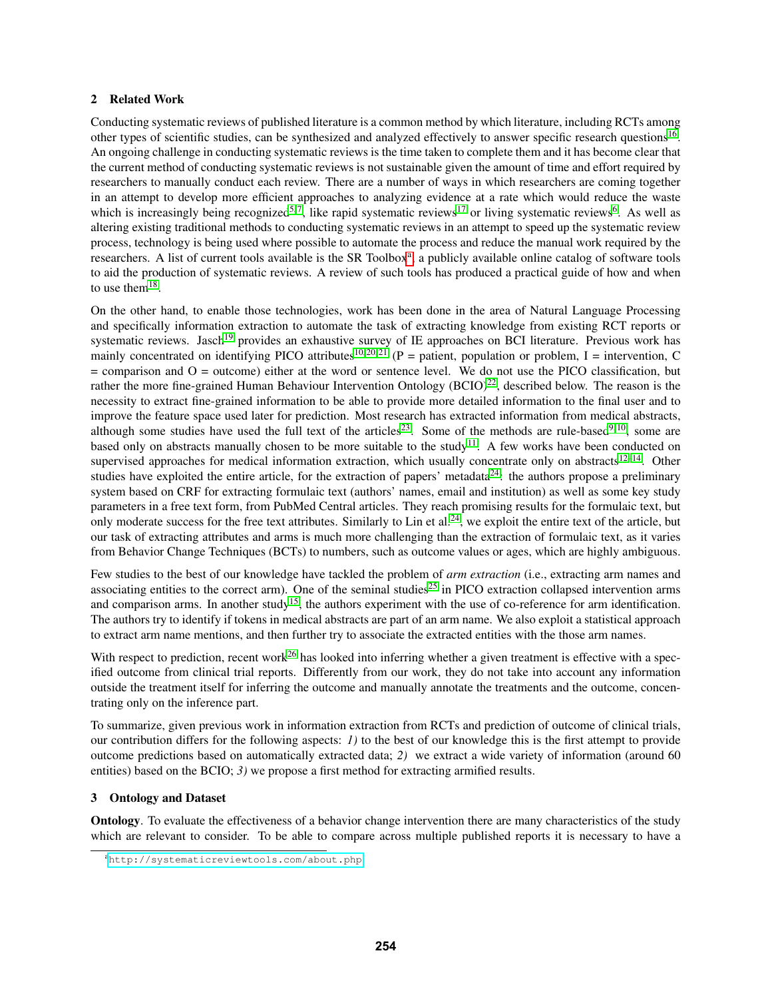#### 2 Related Work

Conducting systematic reviews of published literature is a common method by which literature, including RCTs among other types of scientific studies, can be synthesized and analyzed effectively to answer specific research questions<sup>[16](#page-8-12)</sup>. An ongoing challenge in conducting systematic reviews is the time taken to complete them and it has become clear that the current method of conducting systematic reviews is not sustainable given the amount of time and effort required by researchers to manually conduct each review. There are a number of ways in which researchers are coming together in an attempt to develop more efficient approaches to analyzing evidence at a rate which would reduce the waste which is increasingly being recognized<sup>[5,](#page-8-4)7</sup>, like rapid systematic reviews<sup>[17](#page-8-13)</sup> or living systematic reviews<sup>[6](#page-8-14)</sup>. As well as altering existing traditional methods to conducting systematic reviews in an attempt to speed up the systematic review process, technology is being used where possible to automate the process and reduce the manual work required by the rese[a](#page-1-0)rchers. A list of current tools available is the SR Toolbox<sup>a</sup>, a publicly available online catalog of software tools to aid the production of systematic reviews. A review of such tools has produced a practical guide of how and when to use them $^{18}$  $^{18}$  $^{18}$ .

On the other hand, to enable those technologies, work has been done in the area of Natural Language Processing and specifically information extraction to automate the task of extracting knowledge from existing RCT reports or systematic reviews. Jasch<sup>[19](#page-9-0)</sup> provides an exhaustive survey of IE approaches on BCI literature. Previous work has mainly concentrated on identifying PICO attributes<sup>[10,](#page-8-8) [20,](#page-9-1) [21](#page-9-2)</sup> (P = patient, population or problem, I = intervention, C  $=$  comparison and  $O =$  outcome) either at the word or sentence level. We do not use the PICO classification, but rather the more fine-grained Human Behaviour Intervention Ontology (BCIO)<sup>[22](#page-9-3)</sup>, described below. The reason is the necessity to extract fine-grained information to be able to provide more detailed information to the final user and to improve the feature space used later for prediction. Most research has extracted information from medical abstracts, although some studies have used the full text of the articles<sup>[23](#page-9-4)</sup>. Some of the methods are rule-based<sup>[9,](#page-8-7) [10](#page-8-8)</sup>, some are based only on abstracts manually chosen to be more suitable to the study<sup>[11](#page-8-9)</sup>. A few works have been conducted on supervised approaches for medical information extraction, which usually concentrate only on abstracts<sup>[12–](#page-8-16)[14](#page-8-10)</sup>. Other studies have exploited the entire article, for the extraction of papers' metadata<sup>[24](#page-9-5)</sup>: the authors propose a preliminary system based on CRF for extracting formulaic text (authors' names, email and institution) as well as some key study parameters in a free text form, from PubMed Central articles. They reach promising results for the formulaic text, but only moderate success for the free text attributes. Similarly to Lin et al.<sup>[24](#page-9-5)</sup>, we exploit the entire text of the article, but our task of extracting attributes and arms is much more challenging than the extraction of formulaic text, as it varies from Behavior Change Techniques (BCTs) to numbers, such as outcome values or ages, which are highly ambiguous.

Few studies to the best of our knowledge have tackled the problem of *arm extraction* (i.e., extracting arm names and associating entities to the correct arm). One of the seminal studies<sup>[25](#page-9-6)</sup> in PICO extraction collapsed intervention arms and comparison arms. In another study<sup>[15](#page-8-11)</sup>, the authors experiment with the use of co-reference for arm identification. The authors try to identify if tokens in medical abstracts are part of an arm name. We also exploit a statistical approach to extract arm name mentions, and then further try to associate the extracted entities with the those arm names.

With respect to prediction, recent work<sup>[26](#page-9-7)</sup> has looked into inferring whether a given treatment is effective with a specified outcome from clinical trial reports. Differently from our work, they do not take into account any information outside the treatment itself for inferring the outcome and manually annotate the treatments and the outcome, concentrating only on the inference part.

To summarize, given previous work in information extraction from RCTs and prediction of outcome of clinical trials, our contribution differs for the following aspects: *1)* to the best of our knowledge this is the first attempt to provide outcome predictions based on automatically extracted data; *2)* we extract a wide variety of information (around 60 entities) based on the BCIO; *3)* we propose a first method for extracting armified results.

### <span id="page-1-1"></span>3 Ontology and Dataset

Ontology. To evaluate the effectiveness of a behavior change intervention there are many characteristics of the study which are relevant to consider. To be able to compare across multiple published reports it is necessary to have a

<span id="page-1-0"></span><sup>a</sup><http://systematicreviewtools.com/about.php>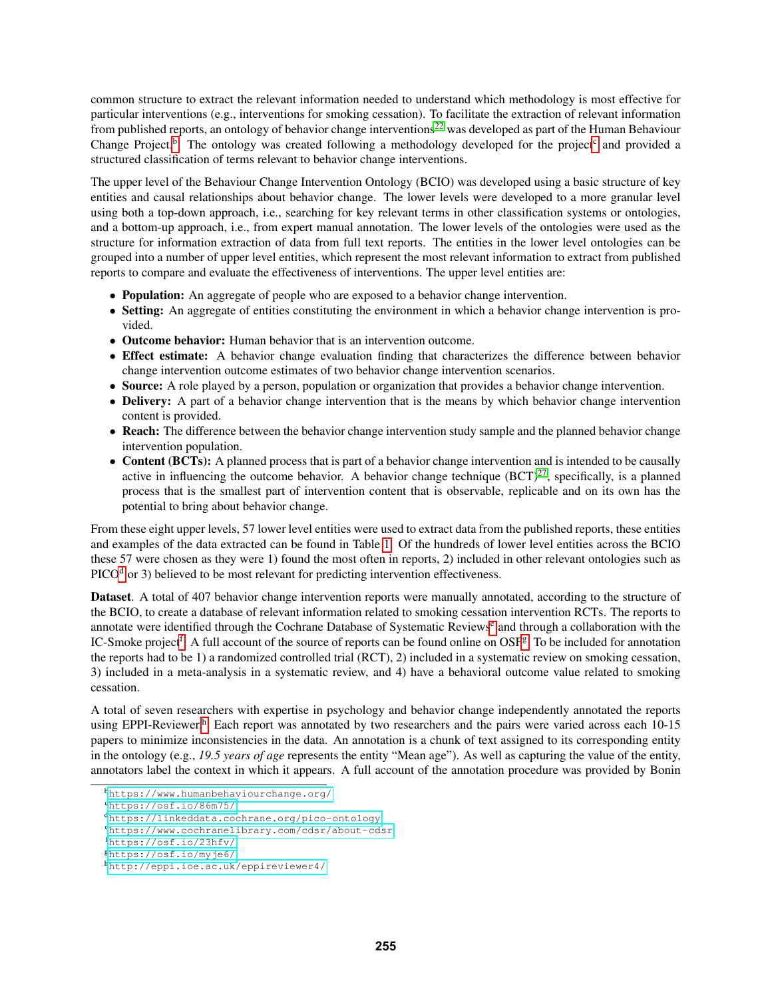common structure to extract the relevant information needed to understand which methodology is most effective for particular interventions (e.g., interventions for smoking cessation). To facilitate the extraction of relevant information from published reports, an ontology of behavior change interventions<sup>[22](#page-9-3)</sup> was developed as part of the Human Behaviour Change Project.<sup>[b](#page-2-0)</sup> The ontology was [c](#page-2-1)reated following a methodology developed for the project<sup>c</sup> and provided a structured classification of terms relevant to behavior change interventions.

The upper level of the Behaviour Change Intervention Ontology (BCIO) was developed using a basic structure of key entities and causal relationships about behavior change. The lower levels were developed to a more granular level using both a top-down approach, i.e., searching for key relevant terms in other classification systems or ontologies, and a bottom-up approach, i.e., from expert manual annotation. The lower levels of the ontologies were used as the structure for information extraction of data from full text reports. The entities in the lower level ontologies can be grouped into a number of upper level entities, which represent the most relevant information to extract from published reports to compare and evaluate the effectiveness of interventions. The upper level entities are:

- Population: An aggregate of people who are exposed to a behavior change intervention.
- Setting: An aggregate of entities constituting the environment in which a behavior change intervention is provided.
- Outcome behavior: Human behavior that is an intervention outcome.
- Effect estimate: A behavior change evaluation finding that characterizes the difference between behavior change intervention outcome estimates of two behavior change intervention scenarios.
- Source: A role played by a person, population or organization that provides a behavior change intervention.
- Delivery: A part of a behavior change intervention that is the means by which behavior change intervention content is provided.
- Reach: The difference between the behavior change intervention study sample and the planned behavior change intervention population.
- Content (BCTs): A planned process that is part of a behavior change intervention and is intended to be causally active in influencing the outcome behavior. A behavior change technique  $(BCT)^{27}$  $(BCT)^{27}$  $(BCT)^{27}$ , specifically, is a planned process that is the smallest part of intervention content that is observable, replicable and on its own has the potential to bring about behavior change.

From these eight upper levels, 57 lower level entities were used to extract data from the published reports, these entities and examples of the data extracted can be found in Table [1.](#page-4-0) Of the hundreds of lower level entities across the BCIO these 57 were chosen as they were 1) found the most often in reports, 2) included in other relevant ontologies such as  $PICO<sup>d</sup>$  $PICO<sup>d</sup>$  $PICO<sup>d</sup>$  or 3) believed to be most relevant for predicting intervention effectiveness.

Dataset. A total of 407 behavior change intervention reports were manually annotated, according to the structure of the BCIO, to create a database of relevant information related to smoking cessation intervention RCTs. The reports to annotat[e](#page-2-3) were identified through the Cochrane Database of Systematic Reviews<sup>e</sup> and through a collaboration with the IC-Smoke project<sup>[f](#page-2-4)</sup>. A full account of the source of reports can be found online on OSF<sup>[g](#page-2-5)</sup>. To be included for annotation the reports had to be 1) a randomized controlled trial (RCT), 2) included in a systematic review on smoking cessation, 3) included in a meta-analysis in a systematic review, and 4) have a behavioral outcome value related to smoking cessation.

A total of seven researchers with expertise in psychology and behavior change independently annotated the reports using EPPI-Reviewer.<sup>[h](#page-2-6)</sup> Each report was annotated by two researchers and the pairs were varied across each 10-15 papers to minimize inconsistencies in the data. An annotation is a chunk of text assigned to its corresponding entity in the ontology (e.g., *19.5 years of age* represents the entity "Mean age"). As well as capturing the value of the entity, annotators label the context in which it appears. A full account of the annotation procedure was provided by Bonin

<span id="page-2-0"></span><sup>b</sup><https://www.humanbehaviourchange.org/>

<span id="page-2-1"></span><sup>c</sup><https://osf.io/86m75/>

<span id="page-2-2"></span><sup>d</sup><https://linkeddata.cochrane.org/pico-ontology>

<span id="page-2-3"></span><sup>e</sup><https://www.cochranelibrary.com/cdsr/about-cdsr>

<span id="page-2-4"></span><sup>f</sup><https://osf.io/23hfv/>

<span id="page-2-5"></span><sup>g</sup><https://osf.io/myje6/>

<span id="page-2-6"></span><sup>h</sup><http://eppi.ioe.ac.uk/eppireviewer4/>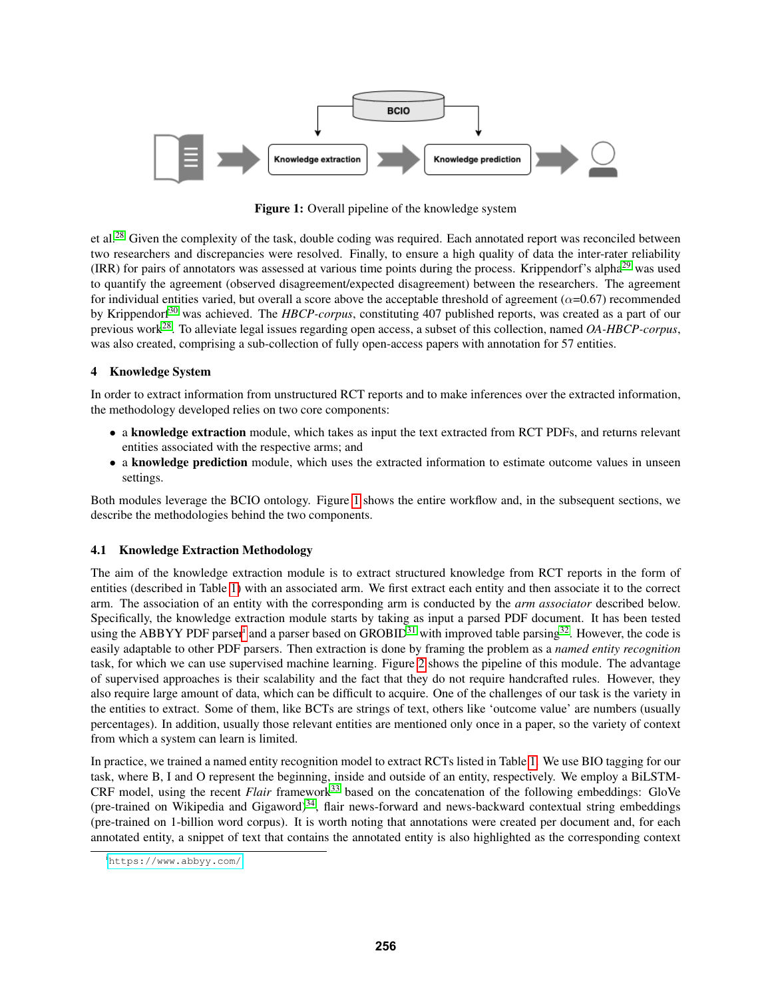<span id="page-3-0"></span>

Figure 1: Overall pipeline of the knowledge system

et al.<sup>[28](#page-9-9)</sup> Given the complexity of the task, double coding was required. Each annotated report was reconciled between two researchers and discrepancies were resolved. Finally, to ensure a high quality of data the inter-rater reliability (IRR) for pairs of annotators was assessed at various time points during the process. Krippendorf's alpha[29](#page-9-10) was used to quantify the agreement (observed disagreement/expected disagreement) between the researchers. The agreement for individual entities varied, but overall a score above the acceptable threshold of agreement ( $\alpha$ =0.67) recommended by Krippendorf<sup>[30](#page-9-11)</sup> was achieved. The *HBCP-corpus*, constituting 407 published reports, was created as a part of our previous work[28](#page-9-9). To alleviate legal issues regarding open access, a subset of this collection, named *OA-HBCP-corpus*, was also created, comprising a sub-collection of fully open-access papers with annotation for 57 entities.

## 4 Knowledge System

In order to extract information from unstructured RCT reports and to make inferences over the extracted information, the methodology developed relies on two core components:

- a knowledge extraction module, which takes as input the text extracted from RCT PDFs, and returns relevant entities associated with the respective arms; and
- a knowledge prediction module, which uses the extracted information to estimate outcome values in unseen settings.

Both modules leverage the BCIO ontology. Figure [1](#page-3-0) shows the entire workflow and, in the subsequent sections, we describe the methodologies behind the two components.

### <span id="page-3-2"></span>4.1 Knowledge Extraction Methodology

The aim of the knowledge extraction module is to extract structured knowledge from RCT reports in the form of entities (described in Table [1\)](#page-4-0) with an associated arm. We first extract each entity and then associate it to the correct arm. The association of an entity with the corresponding arm is conducted by the *arm associator* described below. Specifically, the knowledge extraction module starts by taking as input a parsed PDF document. It has been tested us[i](#page-3-1)ng the ABBYY PDF parser<sup>i</sup> and a parser based on GROBID<sup>[31](#page-9-12)</sup> with improved table parsing<sup>[32](#page-9-13)</sup>. However, the code is easily adaptable to other PDF parsers. Then extraction is done by framing the problem as a *named entity recognition* task, for which we can use supervised machine learning. Figure [2](#page-5-0) shows the pipeline of this module. The advantage of supervised approaches is their scalability and the fact that they do not require handcrafted rules. However, they also require large amount of data, which can be difficult to acquire. One of the challenges of our task is the variety in the entities to extract. Some of them, like BCTs are strings of text, others like 'outcome value' are numbers (usually percentages). In addition, usually those relevant entities are mentioned only once in a paper, so the variety of context from which a system can learn is limited.

In practice, we trained a named entity recognition model to extract RCTs listed in Table [1.](#page-4-0) We use BIO tagging for our task, where B, I and O represent the beginning, inside and outside of an entity, respectively. We employ a BiLSTM-CRF model, using the recent *Flair* framework<sup>[33](#page-9-14)</sup> based on the concatenation of the following embeddings: GloVe (pre-trained on Wikipedia and Gigaword) $34$ , flair news-forward and news-backward contextual string embeddings (pre-trained on 1-billion word corpus). It is worth noting that annotations were created per document and, for each annotated entity, a snippet of text that contains the annotated entity is also highlighted as the corresponding context

<span id="page-3-1"></span><sup>i</sup><https://www.abbyy.com/>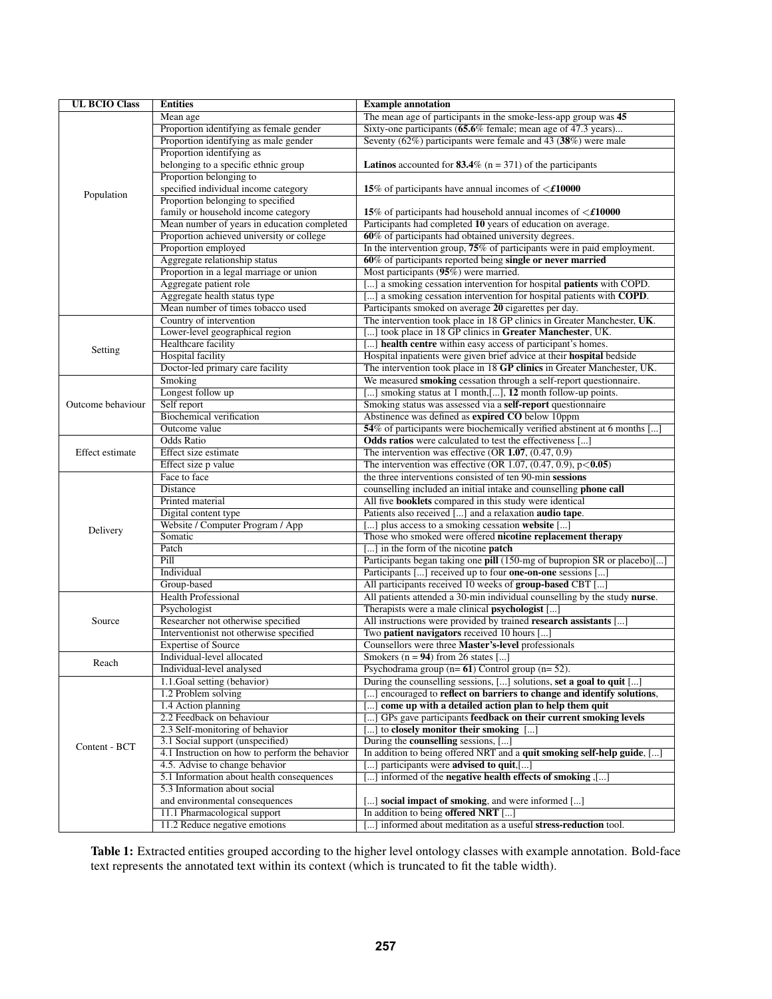<span id="page-4-0"></span>

| <b>UL BCIO Class</b> | <b>Entities</b>                                        | <b>Example annotation</b>                                                                                                                            |
|----------------------|--------------------------------------------------------|------------------------------------------------------------------------------------------------------------------------------------------------------|
|                      | Mean age                                               | The mean age of participants in the smoke-less-app group was 45                                                                                      |
|                      | Proportion identifying as female gender                | Sixty-one participants (65.6% female; mean age of 47.3 years)                                                                                        |
|                      | Proportion identifying as male gender                  | Seventy (62%) participants were female and 43 $(38%)$ were male                                                                                      |
|                      | Proportion identifying as                              |                                                                                                                                                      |
|                      | belonging to a specific ethnic group                   | <b>Latinos</b> accounted for <b>83.4</b> % ( $n = 371$ ) of the participants                                                                         |
|                      | Proportion belonging to                                |                                                                                                                                                      |
| Population           | specified individual income category                   | 15% of participants have annual incomes of $\leq$ £10000                                                                                             |
|                      | Proportion belonging to specified                      |                                                                                                                                                      |
|                      | family or household income category                    | 15% of participants had household annual incomes of $\leq$ £10000                                                                                    |
|                      | Mean number of years in education completed            | Participants had completed 10 years of education on average.                                                                                         |
|                      | Proportion achieved university or college              | 60% of participants had obtained university degrees.                                                                                                 |
|                      | Proportion employed                                    | In the intervention group, 75% of participants were in paid employment.                                                                              |
|                      | Aggregate relationship status                          | 60% of participants reported being single or never married                                                                                           |
|                      | Proportion in a legal marriage or union                | Most participants (95%) were married.                                                                                                                |
|                      | Aggregate patient role<br>Aggregate health status type | [] a smoking cessation intervention for hospital patients with COPD.<br>[] a smoking cessation intervention for hospital patients with <b>COPD</b> . |
|                      | Mean number of times tobacco used                      | Participants smoked on average 20 cigarettes per day.                                                                                                |
|                      | Country of intervention                                | The intervention took place in 18 GP clinics in Greater Manchester, UK.                                                                              |
|                      | Lower-level geographical region                        | [] took place in 18 GP clinics in Greater Manchester, UK.                                                                                            |
|                      | Healthcare facility                                    | [] health centre within easy access of participant's homes.                                                                                          |
| Setting              | <b>Hospital</b> facility                               | Hospital inpatients were given brief advice at their <b>hospital</b> bedside                                                                         |
|                      | Doctor-led primary care facility                       | The intervention took place in 18 GP clinics in Greater Manchester, UK.                                                                              |
|                      | Smoking                                                | We measured smoking cessation through a self-report questionnaire.                                                                                   |
|                      | Longest follow up                                      | [] smoking status at 1 month, [], 12 month follow-up points.                                                                                         |
| Outcome behaviour    | Self report                                            | Smoking status was assessed via a self-report questionnaire                                                                                          |
|                      | <b>Biochemical verification</b>                        | Abstinence was defined as expired CO below 10ppm                                                                                                     |
|                      | Outcome value                                          | 54% of participants were biochemically verified abstinent at 6 months [                                                                              |
|                      | <b>Odds Ratio</b>                                      | <b>Odds ratios</b> were calculated to test the effectiveness []                                                                                      |
| Effect estimate      | Effect size estimate                                   | The intervention was effective (OR $1.07$ , $(0.47, 0.9)$ )                                                                                          |
|                      | Effect size p value                                    | The intervention was effective (OR 1.07, $(0.47, 0.9)$ , $p < 0.05$ )                                                                                |
|                      | Face to face                                           | the three interventions consisted of ten 90-min sessions                                                                                             |
|                      | Distance                                               | counselling included an initial intake and counselling phone call                                                                                    |
|                      | Printed material                                       | All five <b>booklets</b> compared in this study were identical                                                                                       |
|                      | Digital content type                                   | Patients also received [] and a relaxation <b>audio tape</b> .                                                                                       |
| Delivery             | Website / Computer Program / App                       | [] plus access to a smoking cessation website []                                                                                                     |
|                      | Somatic                                                | Those who smoked were offered nicotine replacement therapy                                                                                           |
|                      | Patch<br>Pill                                          | [] in the form of the nicotine <b>patch</b>                                                                                                          |
|                      | Individual                                             | Participants began taking one pill (150-mg of bupropion SR or placebo)[]                                                                             |
|                      | Group-based                                            | Participants [] received up to four one-on-one sessions []<br>All participants received 10 weeks of group-based CBT []                               |
|                      | <b>Health Professional</b>                             | All patients attended a 30-min individual counselling by the study nurse.                                                                            |
| Source               | Psychologist                                           | Therapists were a male clinical <b>psychologist</b> []                                                                                               |
|                      | Researcher not otherwise specified                     | All instructions were provided by trained research assistants []                                                                                     |
|                      | Interventionist not otherwise specified                | Two patient navigators received 10 hours []                                                                                                          |
|                      | <b>Expertise of Source</b>                             | Counsellors were three Master's-level professionals                                                                                                  |
|                      | Individual-level allocated                             | Smokers ( $n = 94$ ) from 26 states []                                                                                                               |
| Reach                | Individual-level analysed                              | Psychodrama group $(n=61)$ Control group $(n=52)$ .                                                                                                  |
| Content - BCT        | 1.1. Goal setting (behavior)                           | During the counselling sessions, [] solutions, set a goal to quit []                                                                                 |
|                      | 1.2 Problem solving                                    | [] encouraged to reflect on barriers to change and identify solutions,                                                                               |
|                      | 1.4 Action planning                                    | [] come up with a detailed action plan to help them quit                                                                                             |
|                      | 2.2 Feedback on behaviour                              | [] GPs gave participants feedback on their current smoking levels                                                                                    |
|                      | 2.3 Self-monitoring of behavior                        | [] to closely monitor their smoking []                                                                                                               |
|                      | 3.1 Social support (unspecified)                       | During the <b>counselling</b> sessions, []                                                                                                           |
|                      | 4.1 Instruction on how to perform the behavior         | In addition to being offered NRT and a quit smoking self-help guide, []                                                                              |
|                      | 4.5. Advise to change behavior                         | $\left[\dots\right]$ participants were <b>advised to quit</b> , $\left[\dots\right]$                                                                 |
|                      | 5.1 Information about health consequences              | [] informed of the negative health effects of smoking ,[]                                                                                            |
|                      | 5.3 Information about social                           |                                                                                                                                                      |
|                      | and environmental consequences                         | [] <b>social impact of smoking</b> , and were informed []                                                                                            |
|                      | 11.1 Pharmacological support                           | In addition to being offered NRT []                                                                                                                  |
|                      | 11.2 Reduce negative emotions                          | [] informed about meditation as a useful stress-reduction tool.                                                                                      |

Table 1: Extracted entities grouped according to the higher level ontology classes with example annotation. Bold-face text represents the annotated text within its context (which is truncated to fit the table width).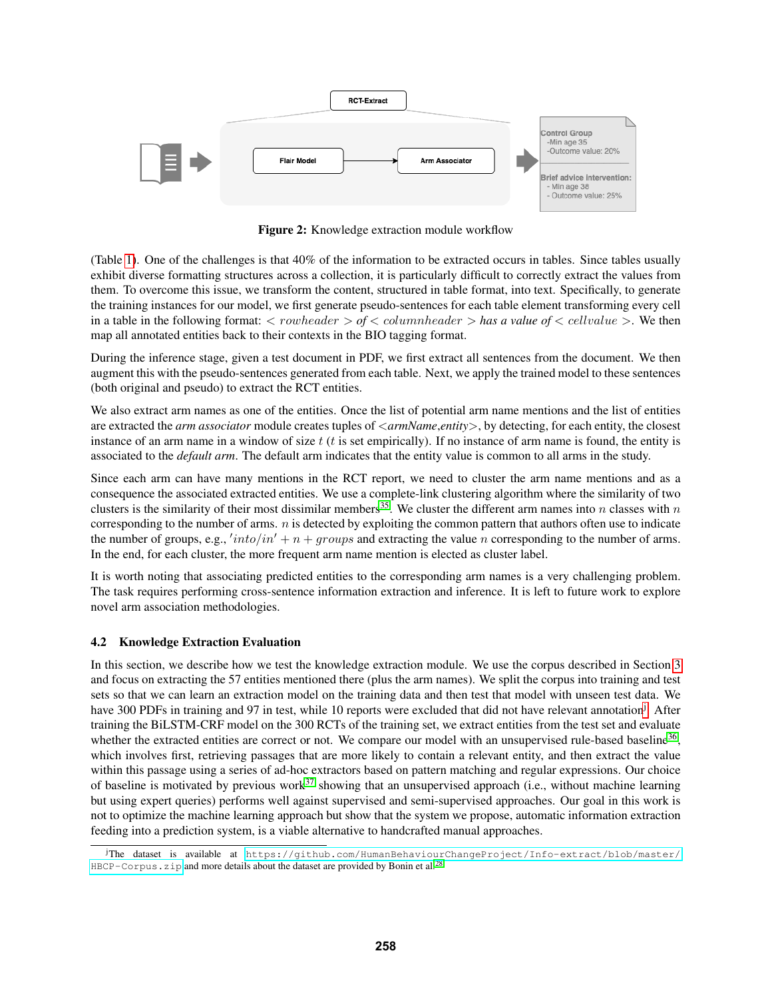<span id="page-5-0"></span>

Figure 2: Knowledge extraction module workflow

(Table [1\)](#page-4-0). One of the challenges is that 40% of the information to be extracted occurs in tables. Since tables usually exhibit diverse formatting structures across a collection, it is particularly difficult to correctly extract the values from them. To overcome this issue, we transform the content, structured in table format, into text. Specifically, to generate the training instances for our model, we first generate pseudo-sentences for each table element transforming every cell in a table in the following format:  $\langle$  *rowheader*  $\rangle$  *of*  $\langle$  *columnheader*  $\rangle$  *has a value of*  $\langle$  *cellvalue*  $\rangle$ . We then map all annotated entities back to their contexts in the BIO tagging format.

During the inference stage, given a test document in PDF, we first extract all sentences from the document. We then augment this with the pseudo-sentences generated from each table. Next, we apply the trained model to these sentences (both original and pseudo) to extract the RCT entities.

We also extract arm names as one of the entities. Once the list of potential arm name mentions and the list of entities are extracted the *arm associator* module creates tuples of <*armName*,*entity*>, by detecting, for each entity, the closest instance of an arm name in a window of size  $t$  ( $t$  is set empirically). If no instance of arm name is found, the entity is associated to the *default arm*. The default arm indicates that the entity value is common to all arms in the study.

Since each arm can have many mentions in the RCT report, we need to cluster the arm name mentions and as a consequence the associated extracted entities. We use a complete-link clustering algorithm where the similarity of two clusters is the similarity of their most dissimilar members<sup>[35](#page-9-16)</sup>. We cluster the different arm names into n classes with n corresponding to the number of arms. *n* is detected by exploiting the common pattern that authors often use to indicate the number of groups, e.g.,  $'into/in' + n + groups$  and extracting the value n corresponding to the number of arms. In the end, for each cluster, the more frequent arm name mention is elected as cluster label.

It is worth noting that associating predicted entities to the corresponding arm names is a very challenging problem. The task requires performing cross-sentence information extraction and inference. It is left to future work to explore novel arm association methodologies.

### 4.2 Knowledge Extraction Evaluation

In this section, we describe how we test the knowledge extraction module. We use the corpus described in Section [3](#page-1-1) and focus on extracting the 57 entities mentioned there (plus the arm names). We split the corpus into training and test sets so that we can learn an extraction model on the training data and then test that model with unseen test data. We have 300 PDFs in training and 97 in test, while 10 reports were excluded that did not have relevant annotation<sup>[j](#page-5-1)</sup>. After training the BiLSTM-CRF model on the 300 RCTs of the training set, we extract entities from the test set and evaluate whether the extracted entities are correct or not. We compare our model with an unsupervised rule-based baseline<sup>[36](#page-9-17)</sup>, which involves first, retrieving passages that are more likely to contain a relevant entity, and then extract the value within this passage using a series of ad-hoc extractors based on pattern matching and regular expressions. Our choice of baseline is motivated by previous work<sup>[37](#page-9-18)</sup> showing that an unsupervised approach (i.e., without machine learning but using expert queries) performs well against supervised and semi-supervised approaches. Our goal in this work is not to optimize the machine learning approach but show that the system we propose, automatic information extraction feeding into a prediction system, is a viable alternative to handcrafted manual approaches.

<span id="page-5-1"></span><sup>j</sup>The dataset is available at [https://github.com/HumanBehaviourChangeProject/Info-extract/blob/master/](https://github.com/HumanBehaviourChangeProject/Info-extract/blob/master/HBCP-Corpus.zip) HBCP-Corpus. zip and more details about the dataset are provided by Bonin et al.<sup>[28](#page-9-9)</sup>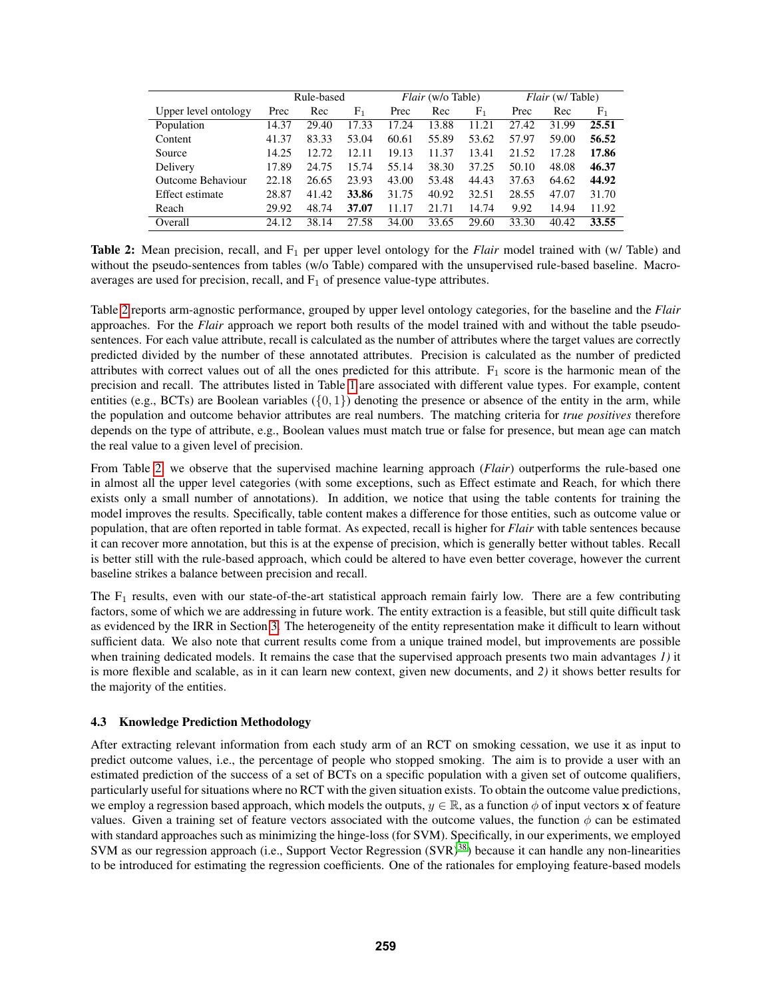<span id="page-6-0"></span>

|                      | Rule-based |       | <i>Flair</i> (w/o Table) |       |       | <i>Flair</i> (w/Table) |       |       |                |
|----------------------|------------|-------|--------------------------|-------|-------|------------------------|-------|-------|----------------|
| Upper level ontology | Prec       | Rec   | F <sub>1</sub>           | Prec  | Rec   | F <sub>1</sub>         | Prec  | Rec   | F <sub>1</sub> |
| Population           | 14.37      | 29.40 | 17.33                    | 17.24 | 13.88 | 11.21                  | 27.42 | 31.99 | 25.51          |
| Content              | 41.37      | 83.33 | 53.04                    | 60.61 | 55.89 | 53.62                  | 57.97 | 59.00 | 56.52          |
| Source               | 14.25      | 12.72 | 12.11                    | 19.13 | 11.37 | 13.41                  | 21.52 | 17.28 | 17.86          |
| Delivery             | 17.89      | 24.75 | 15.74                    | 55.14 | 38.30 | 37.25                  | 50.10 | 48.08 | 46.37          |
| Outcome Behaviour    | 22.18      | 26.65 | 23.93                    | 43.00 | 53.48 | 44.43                  | 37.63 | 64.62 | 44.92          |
| Effect estimate      | 28.87      | 41.42 | 33.86                    | 31.75 | 40.92 | 32.51                  | 28.55 | 47.07 | 31.70          |
| Reach                | 29.92      | 48.74 | 37.07                    | 11.17 | 21.71 | 14.74                  | 9.92  | 14.94 | 11.92          |
| Overall              | 24.12      | 38.14 | 27.58                    | 34.00 | 33.65 | 29.60                  | 33.30 | 40.42 | 33.55          |

Table 2: Mean precision, recall, and F<sub>1</sub> per upper level ontology for the *Flair* model trained with (w/ Table) and without the pseudo-sentences from tables (w/o Table) compared with the unsupervised rule-based baseline. Macroaverages are used for precision, recall, and  $F_1$  of presence value-type attributes.

Table [2](#page-6-0) reports arm-agnostic performance, grouped by upper level ontology categories, for the baseline and the *Flair* approaches. For the *Flair* approach we report both results of the model trained with and without the table pseudosentences. For each value attribute, recall is calculated as the number of attributes where the target values are correctly predicted divided by the number of these annotated attributes. Precision is calculated as the number of predicted attributes with correct values out of all the ones predicted for this attribute.  $F_1$  score is the harmonic mean of the precision and recall. The attributes listed in Table [1](#page-4-0) are associated with different value types. For example, content entities (e.g., BCTs) are Boolean variables  $({0, 1})$  denoting the presence or absence of the entity in the arm, while the population and outcome behavior attributes are real numbers. The matching criteria for *true positives* therefore depends on the type of attribute, e.g., Boolean values must match true or false for presence, but mean age can match the real value to a given level of precision.

From Table [2,](#page-6-0) we observe that the supervised machine learning approach (*Flair*) outperforms the rule-based one in almost all the upper level categories (with some exceptions, such as Effect estimate and Reach, for which there exists only a small number of annotations). In addition, we notice that using the table contents for training the model improves the results. Specifically, table content makes a difference for those entities, such as outcome value or population, that are often reported in table format. As expected, recall is higher for *Flair* with table sentences because it can recover more annotation, but this is at the expense of precision, which is generally better without tables. Recall is better still with the rule-based approach, which could be altered to have even better coverage, however the current baseline strikes a balance between precision and recall.

The  $F_1$  results, even with our state-of-the-art statistical approach remain fairly low. There are a few contributing factors, some of which we are addressing in future work. The entity extraction is a feasible, but still quite difficult task as evidenced by the IRR in Section [3.](#page-1-1) The heterogeneity of the entity representation make it difficult to learn without sufficient data. We also note that current results come from a unique trained model, but improvements are possible when training dedicated models. It remains the case that the supervised approach presents two main advantages *1)* it is more flexible and scalable, as in it can learn new context, given new documents, and *2)* it shows better results for the majority of the entities.

#### 4.3 Knowledge Prediction Methodology

After extracting relevant information from each study arm of an RCT on smoking cessation, we use it as input to predict outcome values, i.e., the percentage of people who stopped smoking. The aim is to provide a user with an estimated prediction of the success of a set of BCTs on a specific population with a given set of outcome qualifiers, particularly useful for situations where no RCT with the given situation exists. To obtain the outcome value predictions, we employ a regression based approach, which models the outputs,  $y \in \mathbb{R}$ , as a function  $\phi$  of input vectors x of feature values. Given a training set of feature vectors associated with the outcome values, the function  $\phi$  can be estimated with standard approaches such as minimizing the hinge-loss (for SVM). Specifically, in our experiments, we employed SVM as our regression approach (i.e., Support Vector Regression  $(SVR)^{38}$  $(SVR)^{38}$  $(SVR)^{38}$ ) because it can handle any non-linearities to be introduced for estimating the regression coefficients. One of the rationales for employing feature-based models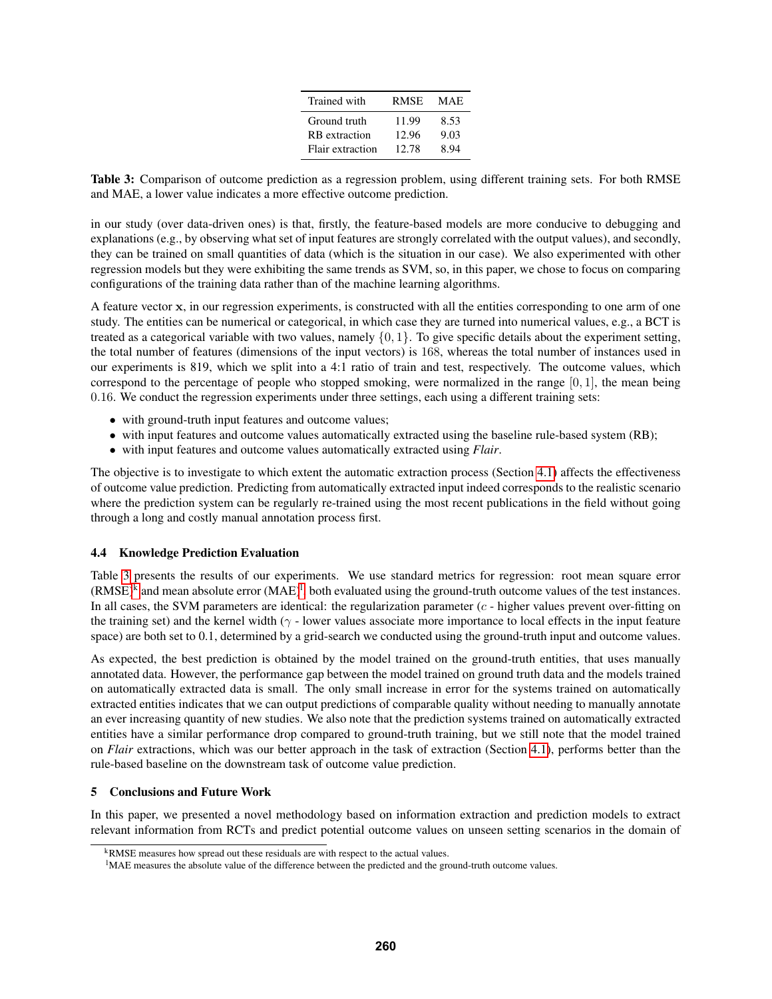| Trained with         | <b>RMSE</b> | MAE. |  |  |
|----------------------|-------------|------|--|--|
| Ground truth         | 11.99       | 8.53 |  |  |
| <b>RB</b> extraction | 12.96       | 9.03 |  |  |
| Flair extraction     | 12.78       | 8.94 |  |  |

<span id="page-7-0"></span>Table 3: Comparison of outcome prediction as a regression problem, using different training sets. For both RMSE and MAE, a lower value indicates a more effective outcome prediction.

in our study (over data-driven ones) is that, firstly, the feature-based models are more conducive to debugging and explanations (e.g., by observing what set of input features are strongly correlated with the output values), and secondly, they can be trained on small quantities of data (which is the situation in our case). We also experimented with other regression models but they were exhibiting the same trends as SVM, so, in this paper, we chose to focus on comparing configurations of the training data rather than of the machine learning algorithms.

A feature vector x, in our regression experiments, is constructed with all the entities corresponding to one arm of one study. The entities can be numerical or categorical, in which case they are turned into numerical values, e.g., a BCT is treated as a categorical variable with two values, namely  $\{0, 1\}$ . To give specific details about the experiment setting, the total number of features (dimensions of the input vectors) is 168, whereas the total number of instances used in our experiments is 819, which we split into a 4:1 ratio of train and test, respectively. The outcome values, which correspond to the percentage of people who stopped smoking, were normalized in the range  $[0, 1]$ , the mean being 0.16. We conduct the regression experiments under three settings, each using a different training sets:

- with ground-truth input features and outcome values;
- with input features and outcome values automatically extracted using the baseline rule-based system (RB);
- with input features and outcome values automatically extracted using *Flair*.

The objective is to investigate to which extent the automatic extraction process (Section [4.1\)](#page-3-2) affects the effectiveness of outcome value prediction. Predicting from automatically extracted input indeed corresponds to the realistic scenario where the prediction system can be regularly re-trained using the most recent publications in the field without going through a long and costly manual annotation process first.

#### 4.4 Knowledge Prediction Evaluation

Table [3](#page-7-0) presents the results of our experiments. We use standard metrics for regression: root mean square error  $(RMSE)^k$  $(RMSE)^k$  and mean absolute error  $(MAE)^l$ [,](#page-7-2) both evaluated using the ground-truth outcome values of the test instances. In all cases, the SVM parameters are identical: the regularization parameter  $(c - higher$  values prevent over-fitting on the training set) and the kernel width ( $\gamma$  - lower values associate more importance to local effects in the input feature space) are both set to 0.1, determined by a grid-search we conducted using the ground-truth input and outcome values.

As expected, the best prediction is obtained by the model trained on the ground-truth entities, that uses manually annotated data. However, the performance gap between the model trained on ground truth data and the models trained on automatically extracted data is small. The only small increase in error for the systems trained on automatically extracted entities indicates that we can output predictions of comparable quality without needing to manually annotate an ever increasing quantity of new studies. We also note that the prediction systems trained on automatically extracted entities have a similar performance drop compared to ground-truth training, but we still note that the model trained on *Flair* extractions, which was our better approach in the task of extraction (Section [4.1\)](#page-3-2), performs better than the rule-based baseline on the downstream task of outcome value prediction.

#### 5 Conclusions and Future Work

In this paper, we presented a novel methodology based on information extraction and prediction models to extract relevant information from RCTs and predict potential outcome values on unseen setting scenarios in the domain of

<span id="page-7-1"></span><sup>k</sup>RMSE measures how spread out these residuals are with respect to the actual values.

<span id="page-7-2"></span><sup>&</sup>lt;sup>1</sup>MAE measures the absolute value of the difference between the predicted and the ground-truth outcome values.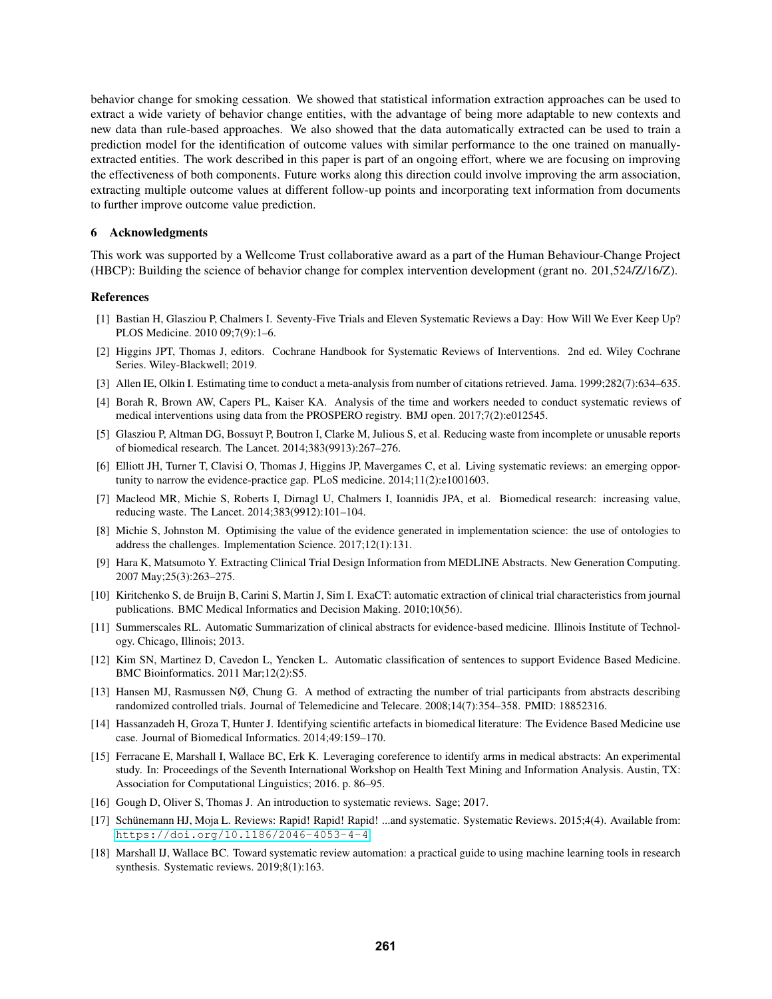behavior change for smoking cessation. We showed that statistical information extraction approaches can be used to extract a wide variety of behavior change entities, with the advantage of being more adaptable to new contexts and new data than rule-based approaches. We also showed that the data automatically extracted can be used to train a prediction model for the identification of outcome values with similar performance to the one trained on manuallyextracted entities. The work described in this paper is part of an ongoing effort, where we are focusing on improving the effectiveness of both components. Future works along this direction could involve improving the arm association, extracting multiple outcome values at different follow-up points and incorporating text information from documents to further improve outcome value prediction.

#### 6 Acknowledgments

This work was supported by a Wellcome Trust collaborative award as a part of the Human Behaviour-Change Project (HBCP): Building the science of behavior change for complex intervention development (grant no. 201,524/Z/16/Z).

#### References

- <span id="page-8-0"></span>[1] Bastian H, Glasziou P, Chalmers I. Seventy-Five Trials and Eleven Systematic Reviews a Day: How Will We Ever Keep Up? PLOS Medicine. 2010 09;7(9):1–6.
- <span id="page-8-1"></span>[2] Higgins JPT, Thomas J, editors. Cochrane Handbook for Systematic Reviews of Interventions. 2nd ed. Wiley Cochrane Series. Wiley-Blackwell; 2019.
- <span id="page-8-2"></span>[3] Allen IE, Olkin I. Estimating time to conduct a meta-analysis from number of citations retrieved. Jama. 1999;282(7):634–635.
- <span id="page-8-3"></span>[4] Borah R, Brown AW, Capers PL, Kaiser KA. Analysis of the time and workers needed to conduct systematic reviews of medical interventions using data from the PROSPERO registry. BMJ open. 2017;7(2):e012545.
- <span id="page-8-4"></span>[5] Glasziou P, Altman DG, Bossuyt P, Boutron I, Clarke M, Julious S, et al. Reducing waste from incomplete or unusable reports of biomedical research. The Lancet. 2014;383(9913):267–276.
- <span id="page-8-14"></span>[6] Elliott JH, Turner T, Clavisi O, Thomas J, Higgins JP, Mavergames C, et al. Living systematic reviews: an emerging opportunity to narrow the evidence-practice gap. PLoS medicine. 2014;11(2):e1001603.
- <span id="page-8-5"></span>[7] Macleod MR, Michie S, Roberts I, Dirnagl U, Chalmers I, Ioannidis JPA, et al. Biomedical research: increasing value, reducing waste. The Lancet. 2014;383(9912):101–104.
- <span id="page-8-6"></span>[8] Michie S, Johnston M. Optimising the value of the evidence generated in implementation science: the use of ontologies to address the challenges. Implementation Science. 2017;12(1):131.
- <span id="page-8-7"></span>[9] Hara K, Matsumoto Y. Extracting Clinical Trial Design Information from MEDLINE Abstracts. New Generation Computing. 2007 May;25(3):263–275.
- <span id="page-8-8"></span>[10] Kiritchenko S, de Bruijn B, Carini S, Martin J, Sim I. ExaCT: automatic extraction of clinical trial characteristics from journal publications. BMC Medical Informatics and Decision Making. 2010;10(56).
- <span id="page-8-9"></span>[11] Summerscales RL. Automatic Summarization of clinical abstracts for evidence-based medicine. Illinois Institute of Technology. Chicago, Illinois; 2013.
- <span id="page-8-16"></span>[12] Kim SN, Martinez D, Cavedon L, Yencken L. Automatic classification of sentences to support Evidence Based Medicine. BMC Bioinformatics. 2011 Mar;12(2):S5.
- [13] Hansen MJ, Rasmussen NØ, Chung G. A method of extracting the number of trial participants from abstracts describing randomized controlled trials. Journal of Telemedicine and Telecare. 2008;14(7):354–358. PMID: 18852316.
- <span id="page-8-10"></span>[14] Hassanzadeh H, Groza T, Hunter J. Identifying scientific artefacts in biomedical literature: The Evidence Based Medicine use case. Journal of Biomedical Informatics. 2014;49:159–170.
- <span id="page-8-11"></span>[15] Ferracane E, Marshall I, Wallace BC, Erk K. Leveraging coreference to identify arms in medical abstracts: An experimental study. In: Proceedings of the Seventh International Workshop on Health Text Mining and Information Analysis. Austin, TX: Association for Computational Linguistics; 2016. p. 86–95.
- <span id="page-8-12"></span>[16] Gough D, Oliver S, Thomas J. An introduction to systematic reviews. Sage; 2017.
- <span id="page-8-13"></span>[17] Schünemann HJ, Moja L. Reviews: Rapid! Rapid! ...and systematic. Systematic Reviews. 2015;4(4). Available from: <https://doi.org/10.1186/2046-4053-4-4>.
- <span id="page-8-15"></span>[18] Marshall IJ, Wallace BC. Toward systematic review automation: a practical guide to using machine learning tools in research synthesis. Systematic reviews. 2019;8(1):163.